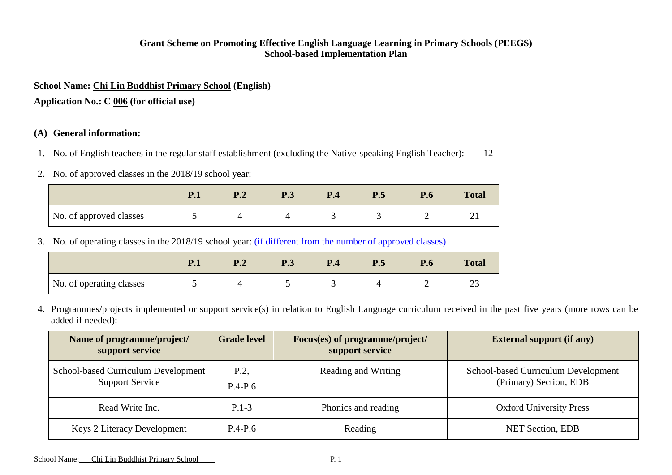### **Grant Scheme on Promoting Effective English Language Learning in Primary Schools (PEEGS) School-based Implementation Plan**

### **School Name: Chi Lin Buddhist Primary School (English)**

**Application No.: C 006 (for official use)**

# **(A) General information:**

- 1. No. of English teachers in the regular staff establishment (excluding the Native-speaking English Teacher): 12
- 2. No. of approved classes in the 2018/19 school year:

|                         | $\mathbf{D}$ 1<br>$\blacksquare$ | D 1<br>▪• | <b>P.3</b> | P.4 | P.5 | $\mathbf{D}$<br>r.o | <b>Total</b> |
|-------------------------|----------------------------------|-----------|------------|-----|-----|---------------------|--------------|
| No. of approved classes | ັ                                |           |            |     |     | -                   | ∼<br>⊷       |

3. No. of operating classes in the 2018/19 school year: (if different from the number of approved classes)

|                          | $\mathbf{1} \cdot \mathbf{1}$ | $\mathbf{D}$ $\boldsymbol{\gamma}$<br><b>1.</b> | <b>P.3</b> | $\mathbf{D}$<br>r.4 | P.5 | P.6 | <b>Total</b>  |
|--------------------------|-------------------------------|-------------------------------------------------|------------|---------------------|-----|-----|---------------|
| No. of operating classes |                               |                                                 |            |                     |     |     | $\sim$<br>ر ے |

4. Programmes/projects implemented or support service(s) in relation to English Language curriculum received in the past five years (more rows can be added if needed):

| Name of programme/project/<br>support service                 | <b>Grade level</b> | Focus(es) of programme/project/<br>support service | <b>External support (if any)</b>                              |
|---------------------------------------------------------------|--------------------|----------------------------------------------------|---------------------------------------------------------------|
| School-based Curriculum Development<br><b>Support Service</b> | P.2<br>$P.4-P.6$   | Reading and Writing                                | School-based Curriculum Development<br>(Primary) Section, EDB |
| Read Write Inc.                                               | $P.1-3$            | Phonics and reading                                | <b>Oxford University Press</b>                                |
| <b>Keys 2 Literacy Development</b>                            | $P.4-P.6$          | Reading                                            | <b>NET Section, EDB</b>                                       |

School Name: Chi Lin Buddhist Primary School P. 1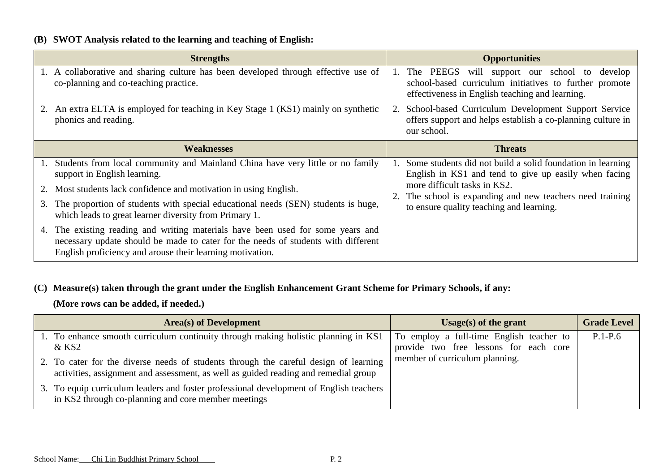# **(B) SWOT Analysis related to the learning and teaching of English:**

|    | <b>Strengths</b>                                                                                                                                                                                                               |                | <b>Opportunities</b>                                                                                                                                         |
|----|--------------------------------------------------------------------------------------------------------------------------------------------------------------------------------------------------------------------------------|----------------|--------------------------------------------------------------------------------------------------------------------------------------------------------------|
|    | 1. A collaborative and sharing culture has been developed through effective use of<br>co-planning and co-teaching practice.                                                                                                    | $\mathbf{1}$ . | will support our school to develop<br>The PEEGS<br>school-based curriculum initiatives to further promote<br>effectiveness in English teaching and learning. |
|    | 2. An extra ELTA is employed for teaching in Key Stage 1 (KS1) mainly on synthetic<br>phonics and reading.                                                                                                                     |                | 2. School-based Curriculum Development Support Service<br>offers support and helps establish a co-planning culture in<br>our school.                         |
|    | <b>Weaknesses</b>                                                                                                                                                                                                              |                | <b>Threats</b>                                                                                                                                               |
|    | Students from local community and Mainland China have very little or no family<br>support in English learning.                                                                                                                 |                | 1. Some students did not build a solid foundation in learning<br>English in KS1 and tend to give up easily when facing                                       |
|    | Most students lack confidence and motivation in using English.                                                                                                                                                                 |                | more difficult tasks in KS2.<br>2. The school is expanding and new teachers need training                                                                    |
| 3. | The proportion of students with special educational needs (SEN) students is huge,<br>which leads to great learner diversity from Primary 1.                                                                                    |                | to ensure quality teaching and learning.                                                                                                                     |
| 4. | The existing reading and writing materials have been used for some years and<br>necessary update should be made to cater for the needs of students with different<br>English proficiency and arouse their learning motivation. |                |                                                                                                                                                              |

## **(C) Measure(s) taken through the grant under the English Enhancement Grant Scheme for Primary Schools, if any:**

**(More rows can be added, if needed.)**

| <b>Area</b> (s) of Development                                                                                                                                              | Usage(s) of the grant                                                              | <b>Grade Level</b> |
|-----------------------------------------------------------------------------------------------------------------------------------------------------------------------------|------------------------------------------------------------------------------------|--------------------|
| 1. To enhance smooth curriculum continuity through making holistic planning in KS1<br>$&$ KS2                                                                               | To employ a full-time English teacher to<br>provide two free lessons for each core | $P.1-P.6$          |
| 2. To cater for the diverse needs of students through the careful design of learning<br>activities, assignment and assessment, as well as guided reading and remedial group | member of curriculum planning.                                                     |                    |
| 3. To equip curriculum leaders and foster professional development of English teachers<br>in KS2 through co-planning and core member meetings                               |                                                                                    |                    |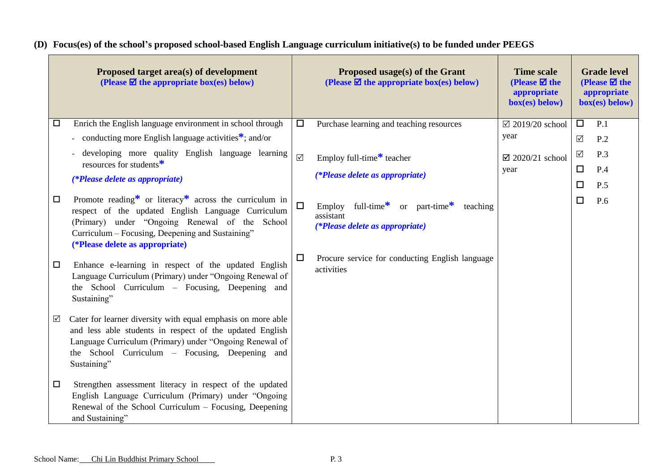**(D) Focus(es) of the school's proposed school-based English Language curriculum initiative(s) to be funded under PEEGS**

| Proposed target area(s) of development<br>(Please $\boxtimes$ the appropriate box(es) below)                                                                                                                                                                             |          | Proposed usage(s) of the Grant<br>(Please $\boxtimes$ the appropriate box(es) below)                 | <b>Time scale</b><br>(Please $\boxtimes$ the<br>appropriate<br>$box(es)$ below) |                      | <b>Grade level</b><br>(Please $\boxtimes$ the<br>appropriate<br>box(es) below) |
|--------------------------------------------------------------------------------------------------------------------------------------------------------------------------------------------------------------------------------------------------------------------------|----------|------------------------------------------------------------------------------------------------------|---------------------------------------------------------------------------------|----------------------|--------------------------------------------------------------------------------|
| Enrich the English language environment in school through<br>$\Box$                                                                                                                                                                                                      | $\Box$   | Purchase learning and teaching resources                                                             | $\boxtimes$ 2019/20 school                                                      | $\Box$               | P.1                                                                            |
| - conducting more English language activities <sup>*</sup> ; and/or                                                                                                                                                                                                      |          |                                                                                                      | year                                                                            | $\sqrt{ }$           | P.2                                                                            |
| developing more quality English language learning<br>resources for students $*$                                                                                                                                                                                          | $\Delta$ | Employ full-time <sup>*</sup> teacher                                                                | $\boxtimes$ 2020/21 school                                                      | $\sqrt{ }$<br>$\Box$ | P.3                                                                            |
| (*Please delete as appropriate)                                                                                                                                                                                                                                          |          | (*Please delete as appropriate)                                                                      | year                                                                            | $\Box$               | P.4<br>P.5                                                                     |
| Promote reading* or literacy* across the curriculum in<br>$\Box$<br>respect of the updated English Language Curriculum<br>(Primary) under "Ongoing Renewal of the School<br>Curriculum – Focusing, Deepening and Sustaining"<br>(*Please delete as appropriate)          | $\Box$   | full-time*<br>or part-time $*$<br>Employ<br>teaching<br>assistant<br>(*Please delete as appropriate) |                                                                                 | $\Box$               | P.6                                                                            |
| Enhance e-learning in respect of the updated English<br>$\Box$<br>Language Curriculum (Primary) under "Ongoing Renewal of<br>the School Curriculum - Focusing, Deepening and<br>Sustaining"                                                                              | $\Box$   | Procure service for conducting English language<br>activities                                        |                                                                                 |                      |                                                                                |
| Cater for learner diversity with equal emphasis on more able<br>$\triangledown$<br>and less able students in respect of the updated English<br>Language Curriculum (Primary) under "Ongoing Renewal of<br>the School Curriculum – Focusing, Deepening and<br>Sustaining" |          |                                                                                                      |                                                                                 |                      |                                                                                |
| Strengthen assessment literacy in respect of the updated<br>□<br>English Language Curriculum (Primary) under "Ongoing<br>Renewal of the School Curriculum – Focusing, Deepening<br>and Sustaining"                                                                       |          |                                                                                                      |                                                                                 |                      |                                                                                |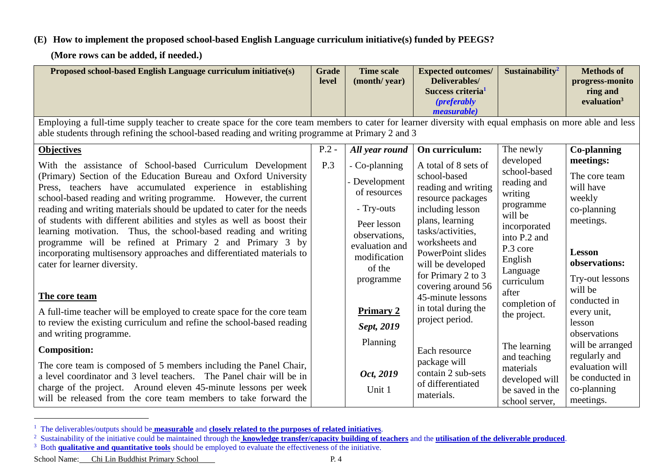## **(E) How to implement the proposed school-based English Language curriculum initiative(s) funded by PEEGS?**

**(More rows can be added, if needed.)**

| Proposed school-based English Language curriculum initiative(s)                                                                                                                                                                                                                         | <b>Grade</b><br>level | <b>Time scale</b><br>(month/year)                          | <b>Expected outcomes/</b><br>Deliverables/<br>Success criteria <sup>1</sup><br><i>(preferably)</i>   | Sustainability <sup>2</sup>                                      | <b>Methods of</b><br>progress-monito<br>ring and<br>evaluation <sup>3</sup> |
|-----------------------------------------------------------------------------------------------------------------------------------------------------------------------------------------------------------------------------------------------------------------------------------------|-----------------------|------------------------------------------------------------|------------------------------------------------------------------------------------------------------|------------------------------------------------------------------|-----------------------------------------------------------------------------|
| Employing a full-time supply teacher to create space for the core team members to cater for learner diversity with equal emphasis on more able and less<br>able students through refining the school-based reading and writing programme at Primary 2 and 3                             |                       |                                                            | <i>measurable</i> )                                                                                  |                                                                  |                                                                             |
| <b>Objectives</b><br>With the assistance of School-based Curriculum Development<br>(Primary) Section of the Education Bureau and Oxford University<br>Press, teachers have accumulated experience in establishing                                                                       | $P.2 -$<br>P.3        | All year round<br>- Co-planning<br>- Development           | On curriculum:<br>A total of 8 sets of<br>school-based<br>reading and writing                        | The newly<br>developed<br>school-based<br>reading and            | <b>Co-planning</b><br>meetings:<br>The core team<br>will have               |
| school-based reading and writing programme. However, the current<br>reading and writing materials should be updated to cater for the needs<br>of students with different abilities and styles as well as boost their<br>learning motivation. Thus, the school-based reading and writing |                       | of resources<br>- Try-outs<br>Peer lesson<br>observations, | resource packages<br>including lesson<br>plans, learning<br>tasks/activities,                        | writing<br>programme<br>will be<br>incorporated<br>into P.2 and  | weekly<br>co-planning<br>meetings.                                          |
| programme will be refined at Primary 2 and Primary 3 by<br>incorporating multisensory approaches and differentiated materials to<br>cater for learner diversity.                                                                                                                        |                       | evaluation and<br>modification<br>of the<br>programme      | worksheets and<br>PowerPoint slides<br>will be developed<br>for Primary 2 to 3<br>covering around 56 | P.3 core<br>English<br>Language<br>curriculum                    | <b>Lesson</b><br>observations:<br>Try-out lessons<br>will be                |
| The core team                                                                                                                                                                                                                                                                           |                       |                                                            | 45-minute lessons<br>in total during the                                                             | after<br>completion of                                           | conducted in                                                                |
| A full-time teacher will be employed to create space for the core team<br>to review the existing curriculum and refine the school-based reading<br>and writing programme.                                                                                                               |                       | <b>Primary 2</b><br>Sept, 2019                             | project period.                                                                                      | the project.                                                     | every unit,<br>lesson<br>observations                                       |
| <b>Composition:</b>                                                                                                                                                                                                                                                                     |                       | Planning                                                   | Each resource                                                                                        | The learning<br>and teaching                                     | will be arranged<br>regularly and                                           |
| The core team is composed of 5 members including the Panel Chair,<br>a level coordinator and 3 level teachers. The Panel chair will be in<br>charge of the project. Around eleven 45-minute lessons per week<br>will be released from the core team members to take forward the         |                       | Oct, 2019<br>Unit 1                                        | package will<br>contain 2 sub-sets<br>of differentiated<br>materials.                                | materials<br>developed will<br>be saved in the<br>school server, | evaluation will<br>be conducted in<br>co-planning<br>meetings.              |

<sup>1</sup> The deliverables/outputs should be **measurable** and **closely related to the purposes of related initiatives**.

School Name: Chi Lin Buddhist Primary School P. 4

 $\overline{a}$ 

<sup>2</sup> Sustainability of the initiative could be maintained through the **knowledge transfer/capacity building of teachers** and the **utilisation of the deliverable produced**.

<sup>&</sup>lt;sup>3</sup> Both **qualitative and quantitative tools** should be employed to evaluate the effectiveness of the initiative.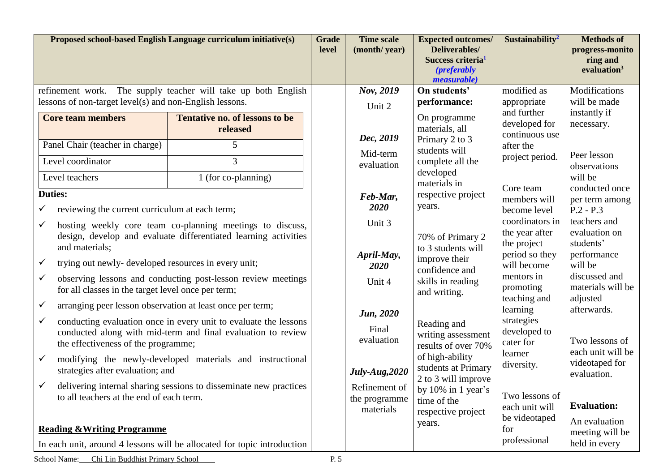|                                                                                                   |                                                                                                                                                                                                                                                                                                                                                                                      | Proposed school-based English Language curriculum initiative(s)                                                                                                                                                                                                                                                                                                                                                                                                    | <b>Grade</b><br>level | <b>Time scale</b><br>(month/year)                                                                                                                                              | <b>Expected outcomes/</b><br>Deliverables/<br>Success criteria <sup>1</sup><br><i>(preferably)</i><br><i>measurable</i> )                                                                                                                                                                                                              | Sustainability <sup>2</sup>                                                                                                                                                                                                                                                                                    | <b>Methods of</b><br>progress-monito<br>ring and<br>evaluation $3$                                                                                                                                                                                                                                      |
|---------------------------------------------------------------------------------------------------|--------------------------------------------------------------------------------------------------------------------------------------------------------------------------------------------------------------------------------------------------------------------------------------------------------------------------------------------------------------------------------------|--------------------------------------------------------------------------------------------------------------------------------------------------------------------------------------------------------------------------------------------------------------------------------------------------------------------------------------------------------------------------------------------------------------------------------------------------------------------|-----------------------|--------------------------------------------------------------------------------------------------------------------------------------------------------------------------------|----------------------------------------------------------------------------------------------------------------------------------------------------------------------------------------------------------------------------------------------------------------------------------------------------------------------------------------|----------------------------------------------------------------------------------------------------------------------------------------------------------------------------------------------------------------------------------------------------------------------------------------------------------------|---------------------------------------------------------------------------------------------------------------------------------------------------------------------------------------------------------------------------------------------------------------------------------------------------------|
|                                                                                                   | refinement work.<br>lessons of non-target level(s) and non-English lessons.                                                                                                                                                                                                                                                                                                          | The supply teacher will take up both English                                                                                                                                                                                                                                                                                                                                                                                                                       |                       | Nov, 2019<br>Unit 2                                                                                                                                                            | On students'<br>performance:                                                                                                                                                                                                                                                                                                           | modified as<br>appropriate                                                                                                                                                                                                                                                                                     | Modifications<br>will be made                                                                                                                                                                                                                                                                           |
|                                                                                                   | <b>Core team members</b><br>Panel Chair (teacher in charge)<br>Level coordinator<br>Level teachers                                                                                                                                                                                                                                                                                   | <b>Tentative no. of lessons to be</b><br>released<br>5<br>3<br>1 (for co-planning)                                                                                                                                                                                                                                                                                                                                                                                 |                       | Dec, 2019<br>Mid-term<br>evaluation                                                                                                                                            | On programme<br>materials, all<br>Primary 2 to 3<br>students will<br>complete all the<br>developed<br>materials in                                                                                                                                                                                                                     | and further<br>developed for<br>continuous use<br>after the<br>project period.                                                                                                                                                                                                                                 | instantly if<br>necessary.<br>Peer lesson<br>observations<br>will be                                                                                                                                                                                                                                    |
| $\checkmark$<br>$\checkmark$<br>$\checkmark$<br>$\checkmark$<br>$\checkmark$<br>$\checkmark$<br>✓ | <b>Duties:</b><br>reviewing the current curriculum at each term;<br>and materials;<br>trying out newly- developed resources in every unit;<br>for all classes in the target level once per term;<br>arranging peer lesson observation at least once per term;<br>the effectiveness of the programme;<br>strategies after evaluation; and<br>to all teachers at the end of each term. | hosting weekly core team co-planning meetings to discuss,<br>design, develop and evaluate differentiated learning activities<br>observing lessons and conducting post-lesson review meetings<br>conducting evaluation once in every unit to evaluate the lessons<br>conducted along with mid-term and final evaluation to review<br>modifying the newly-developed materials and instructional<br>delivering internal sharing sessions to disseminate new practices |                       | Feb-Mar,<br>2020<br>Unit 3<br>April-May,<br>2020<br>Unit 4<br><b>Jun</b> , 2020<br>Final<br>evaluation<br><b>July-Aug, 2020</b><br>Refinement of<br>the programme<br>materials | respective project<br>years.<br>70% of Primary 2<br>to 3 students will<br>improve their<br>confidence and<br>skills in reading<br>and writing.<br>Reading and<br>writing assessment<br>results of over 70%<br>of high-ability<br>students at Primary<br>2 to 3 will improve<br>by 10% in 1 year's<br>time of the<br>respective project | Core team<br>members will<br>become level<br>coordinators in<br>the year after<br>the project<br>period so they<br>will become<br>mentors in<br>promoting<br>teaching and<br>learning<br>strategies<br>developed to<br>cater for<br>learner<br>diversity.<br>Two lessons of<br>each unit will<br>be videotaped | conducted once<br>per term among<br>$P.2 - P.3$<br>teachers and<br>evaluation on<br>students'<br>performance<br>will be<br>discussed and<br>materials will be<br>adjusted<br>afterwards.<br>Two lessons of<br>each unit will be<br>videotaped for<br>evaluation.<br><b>Evaluation:</b><br>An evaluation |
|                                                                                                   | <b>Reading &amp; Writing Programme</b>                                                                                                                                                                                                                                                                                                                                               | In each unit, around 4 lessons will be allocated for topic introduction                                                                                                                                                                                                                                                                                                                                                                                            |                       |                                                                                                                                                                                | years.                                                                                                                                                                                                                                                                                                                                 | for<br>professional                                                                                                                                                                                                                                                                                            | meeting will be<br>held in every                                                                                                                                                                                                                                                                        |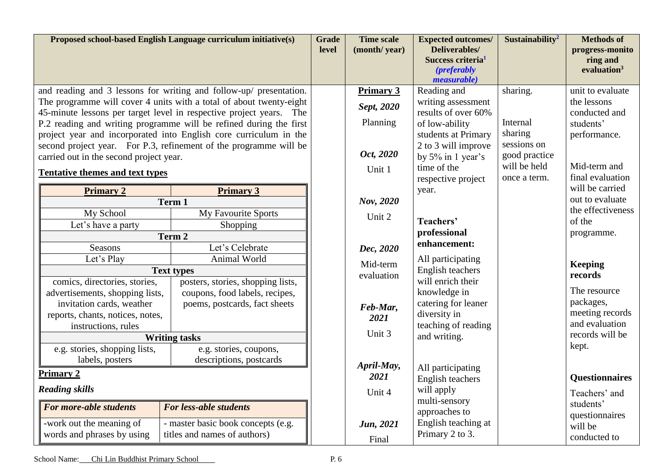| Proposed school-based English Language curriculum initiative(s)                                                                                                                                                                                                                                                                                                                                                                                                                                                       |                                                                                                                                                                                                | <b>Grade</b><br>level | <b>Time scale</b><br>(month/year)                                                        | <b>Expected outcomes/</b><br>Deliverables/<br>Success criteria <sup>1</sup><br><i>(preferably)</i><br><i>measurable</i> )                                                                                      | Sustainability <sup>2</sup>                                                                     | <b>Methods of</b><br>progress-monito<br>ring and<br>evaluation $3$                                                                                                                                         |
|-----------------------------------------------------------------------------------------------------------------------------------------------------------------------------------------------------------------------------------------------------------------------------------------------------------------------------------------------------------------------------------------------------------------------------------------------------------------------------------------------------------------------|------------------------------------------------------------------------------------------------------------------------------------------------------------------------------------------------|-----------------------|------------------------------------------------------------------------------------------|----------------------------------------------------------------------------------------------------------------------------------------------------------------------------------------------------------------|-------------------------------------------------------------------------------------------------|------------------------------------------------------------------------------------------------------------------------------------------------------------------------------------------------------------|
| and reading and 3 lessons for writing and follow-up/ presentation.<br>The programme will cover 4 units with a total of about twenty-eight<br>45-minute lessons per target level in respective project years. The<br>P.2 reading and writing programme will be refined during the first<br>project year and incorporated into English core curriculum in the<br>second project year. For P.3, refinement of the programme will be<br>carried out in the second project year.<br><b>Tentative themes and text types</b> |                                                                                                                                                                                                |                       | <b>Primary 3</b><br>Sept, 2020<br>Planning<br>Oct, 2020<br>Unit 1                        | Reading and<br>writing assessment<br>results of over 60%<br>of low-ability<br>students at Primary<br>2 to 3 will improve<br>by $5\%$ in 1 year's<br>time of the<br>respective project                          | sharing.<br>Internal<br>sharing<br>sessions on<br>good practice<br>will be held<br>once a term. | unit to evaluate<br>the lessons<br>conducted and<br>students'<br>performance.<br>Mid-term and<br>final evaluation                                                                                          |
| <b>Primary 2</b><br>Term 1<br>My School<br>Let's have a party<br>Term 2<br>Seasons<br>Let's Play<br><b>Text types</b><br>comics, directories, stories,<br>advertisements, shopping lists,<br>invitation cards, weather<br>reports, chants, notices, notes,<br>instructions, rules<br><b>Writing tasks</b>                                                                                                                                                                                                             | <b>Primary 3</b><br>My Favourite Sports<br>Shopping<br>Let's Celebrate<br>Animal World<br>posters, stories, shopping lists,<br>coupons, food labels, recipes,<br>poems, postcards, fact sheets |                       | Nov, 2020<br>Unit 2<br>Dec, 2020<br>Mid-term<br>evaluation<br>Feb-Mar,<br>2021<br>Unit 3 | year.<br>Teachers'<br>professional<br>enhancement:<br>All participating<br>English teachers<br>will enrich their<br>knowledge in<br>catering for leaner<br>diversity in<br>teaching of reading<br>and writing. |                                                                                                 | will be carried<br>out to evaluate<br>the effectiveness<br>of the<br>programme.<br><b>Keeping</b><br>records<br>The resource<br>packages,<br>meeting records<br>and evaluation<br>records will be<br>kept. |
| e.g. stories, shopping lists,<br>labels, posters<br><b>Primary 2</b><br><b>Reading skills</b><br>For more-able students<br>-work out the meaning of<br>words and phrases by using                                                                                                                                                                                                                                                                                                                                     | e.g. stories, coupons,<br>descriptions, postcards<br><b>For less-able students</b><br>- master basic book concepts (e.g.<br>titles and names of authors)                                       |                       | April-May,<br>2021<br>Unit 4<br>Jun, 2021<br>Final                                       | All participating<br>English teachers<br>will apply<br>multi-sensory<br>approaches to<br>English teaching at<br>Primary 2 to 3.                                                                                |                                                                                                 | <b>Questionnaires</b><br>Teachers' and<br>students'<br>questionnaires<br>will be<br>conducted to                                                                                                           |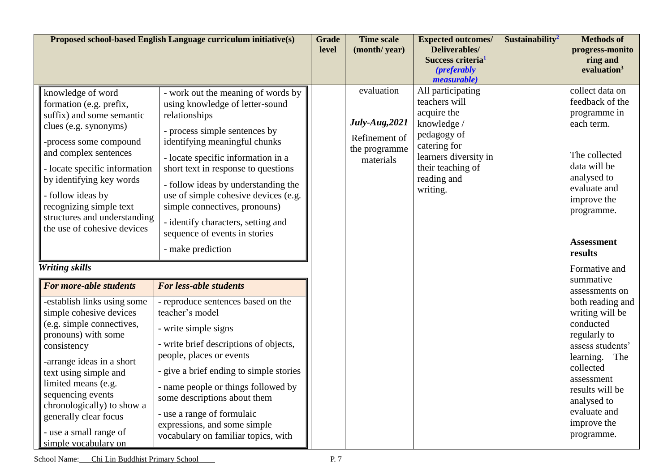| Proposed school-based English Language curriculum initiative(s)                                                                                                                                                                                                                                                                                            |                                                                                                                                                                                                                                                                                                                                                                                                                                                   | <b>Grade</b><br>level | <b>Time scale</b><br>(month/year)                                           | <b>Expected outcomes/</b><br>Deliverables/<br>Success criteria <sup>1</sup><br><i>(preferably)</i><br><i>measurable</i> )                                                | Sustainability <sup>2</sup> | <b>Methods of</b><br>progress-monito<br>ring and<br>evaluation <sup>3</sup>                                                                                                                                        |
|------------------------------------------------------------------------------------------------------------------------------------------------------------------------------------------------------------------------------------------------------------------------------------------------------------------------------------------------------------|---------------------------------------------------------------------------------------------------------------------------------------------------------------------------------------------------------------------------------------------------------------------------------------------------------------------------------------------------------------------------------------------------------------------------------------------------|-----------------------|-----------------------------------------------------------------------------|--------------------------------------------------------------------------------------------------------------------------------------------------------------------------|-----------------------------|--------------------------------------------------------------------------------------------------------------------------------------------------------------------------------------------------------------------|
| knowledge of word<br>formation (e.g. prefix,<br>suffix) and some semantic<br>clues (e.g. synonyms)<br>-process some compound<br>and complex sentences<br>- locate specific information<br>by identifying key words<br>- follow ideas by<br>recognizing simple text<br>structures and understanding<br>the use of cohesive devices<br><b>Writing skills</b> | - work out the meaning of words by<br>using knowledge of letter-sound<br>relationships<br>- process simple sentences by<br>identifying meaningful chunks<br>- locate specific information in a<br>short text in response to questions<br>- follow ideas by understanding the<br>use of simple cohesive devices (e.g.<br>simple connectives, pronouns)<br>- identify characters, setting and<br>sequence of events in stories<br>- make prediction |                       | evaluation<br>July-Aug, 2021<br>Refinement of<br>the programme<br>materials | All participating<br>teachers will<br>acquire the<br>knowledge /<br>pedagogy of<br>catering for<br>learners diversity in<br>their teaching of<br>reading and<br>writing. |                             | collect data on<br>feedback of the<br>programme in<br>each term.<br>The collected<br>data will be<br>analysed to<br>evaluate and<br>improve the<br>programme.<br><b>Assessment</b><br>results<br>Formative and     |
| For more-able students                                                                                                                                                                                                                                                                                                                                     | <b>For less-able students</b>                                                                                                                                                                                                                                                                                                                                                                                                                     |                       |                                                                             |                                                                                                                                                                          |                             | summative<br>assessments on                                                                                                                                                                                        |
| -establish links using some<br>simple cohesive devices<br>(e.g. simple connectives,<br>pronouns) with some<br>consistency<br>-arrange ideas in a short<br>text using simple and<br>limited means (e.g.<br>sequencing events<br>chronologically) to show a<br>generally clear focus<br>- use a small range of<br>simple vocabulary on                       | - reproduce sentences based on the<br>teacher's model<br>- write simple signs<br>- write brief descriptions of objects,<br>people, places or events<br>- give a brief ending to simple stories<br>- name people or things followed by<br>some descriptions about them<br>- use a range of formulaic<br>expressions, and some simple<br>vocabulary on familiar topics, with                                                                        |                       |                                                                             |                                                                                                                                                                          |                             | both reading and<br>writing will be<br>conducted<br>regularly to<br>assess students'<br>learning.<br>The<br>collected<br>assessment<br>results will be<br>analysed to<br>evaluate and<br>improve the<br>programme. |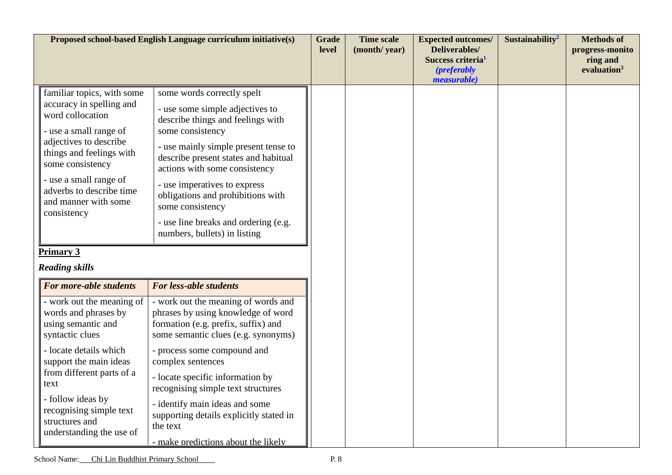|                                                                                                                                                                                                                                                                                                             | Proposed school-based English Language curriculum initiative(s)                                                                                                                                                                                                                                                                                                                                                                                        | <b>Grade</b><br>level | <b>Time scale</b><br>(month/year) | <b>Expected outcomes/</b><br>Deliverables/<br>Success criteria <sup>1</sup><br>( <i>preferably</i><br><i>measurable</i> ) | Sustainability <sup>2</sup> | <b>Methods</b> of<br>progress-monito<br>ring and<br>evaluation <sup>3</sup> |
|-------------------------------------------------------------------------------------------------------------------------------------------------------------------------------------------------------------------------------------------------------------------------------------------------------------|--------------------------------------------------------------------------------------------------------------------------------------------------------------------------------------------------------------------------------------------------------------------------------------------------------------------------------------------------------------------------------------------------------------------------------------------------------|-----------------------|-----------------------------------|---------------------------------------------------------------------------------------------------------------------------|-----------------------------|-----------------------------------------------------------------------------|
| familiar topics, with some<br>accuracy in spelling and<br>word collocation<br>- use a small range of<br>adjectives to describe<br>things and feelings with<br>some consistency<br>- use a small range of<br>adverbs to describe time<br>and manner with some<br>consistency                                 | some words correctly spelt<br>- use some simple adjectives to<br>describe things and feelings with<br>some consistency<br>- use mainly simple present tense to<br>describe present states and habitual<br>actions with some consistency<br>- use imperatives to express<br>obligations and prohibitions with<br>some consistency<br>- use line breaks and ordering (e.g.<br>numbers, bullets) in listing                                               |                       |                                   |                                                                                                                           |                             |                                                                             |
| <b>Primary 3</b><br><b>Reading skills</b>                                                                                                                                                                                                                                                                   |                                                                                                                                                                                                                                                                                                                                                                                                                                                        |                       |                                   |                                                                                                                           |                             |                                                                             |
| For more-able students<br>- work out the meaning of<br>words and phrases by<br>using semantic and<br>syntactic clues<br>- locate details which<br>support the main ideas<br>from different parts of a<br>text<br>- follow ideas by<br>recognising simple text<br>structures and<br>understanding the use of | <b>For less-able students</b><br>- work out the meaning of words and<br>phrases by using knowledge of word<br>formation (e.g. prefix, suffix) and<br>some semantic clues (e.g. synonyms)<br>- process some compound and<br>complex sentences<br>- locate specific information by<br>recognising simple text structures<br>- identify main ideas and some<br>supporting details explicitly stated in<br>the text<br>- make predictions about the likely |                       |                                   |                                                                                                                           |                             |                                                                             |

School Name: Chi Lin Buddhist Primary School P. 8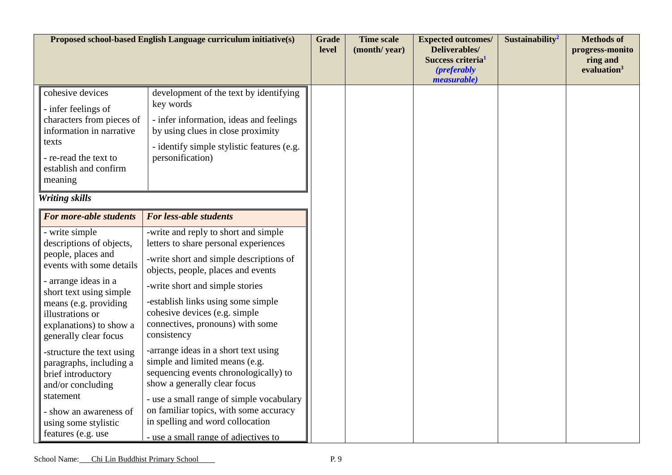|                                                                                                                                                                                                                                                  | Proposed school-based English Language curriculum initiative(s)                                                                                                                                                                                                                                                             | <b>Grade</b><br>level | <b>Time scale</b><br>(month/year) | <b>Expected outcomes/</b><br>Deliverables/<br>Success criteria <sup>1</sup><br><i>(preferably)</i><br><i>measurable</i> ) | Sustainability <sup>2</sup> | <b>Methods of</b><br>progress-monito<br>ring and<br>evaluation <sup>3</sup> |
|--------------------------------------------------------------------------------------------------------------------------------------------------------------------------------------------------------------------------------------------------|-----------------------------------------------------------------------------------------------------------------------------------------------------------------------------------------------------------------------------------------------------------------------------------------------------------------------------|-----------------------|-----------------------------------|---------------------------------------------------------------------------------------------------------------------------|-----------------------------|-----------------------------------------------------------------------------|
| cohesive devices<br>- infer feelings of<br>characters from pieces of<br>information in narrative<br>texts<br>- re-read the text to<br>establish and confirm<br>meaning                                                                           | development of the text by identifying<br>key words<br>- infer information, ideas and feelings<br>by using clues in close proximity<br>- identify simple stylistic features (e.g.<br>personification)                                                                                                                       |                       |                                   |                                                                                                                           |                             |                                                                             |
| <b>Writing skills</b>                                                                                                                                                                                                                            |                                                                                                                                                                                                                                                                                                                             |                       |                                   |                                                                                                                           |                             |                                                                             |
| For more-able students                                                                                                                                                                                                                           | <b>For less-able students</b>                                                                                                                                                                                                                                                                                               |                       |                                   |                                                                                                                           |                             |                                                                             |
| - write simple<br>descriptions of objects,<br>people, places and<br>events with some details<br>- arrange ideas in a<br>short text using simple<br>means (e.g. providing<br>illustrations or<br>explanations) to show a<br>generally clear focus | -write and reply to short and simple<br>letters to share personal experiences<br>-write short and simple descriptions of<br>objects, people, places and events<br>-write short and simple stories<br>-establish links using some simple<br>cohesive devices (e.g. simple<br>connectives, pronouns) with some<br>consistency |                       |                                   |                                                                                                                           |                             |                                                                             |
| -structure the text using<br>paragraphs, including a<br>brief introductory<br>and/or concluding<br>statement<br>- show an awareness of<br>using some stylistic<br>features (e.g. use                                                             | -arrange ideas in a short text using<br>simple and limited means (e.g.<br>sequencing events chronologically) to<br>show a generally clear focus<br>- use a small range of simple vocabulary<br>on familiar topics, with some accuracy<br>in spelling and word collocation<br>- use a small range of adjectives to           |                       |                                   |                                                                                                                           |                             |                                                                             |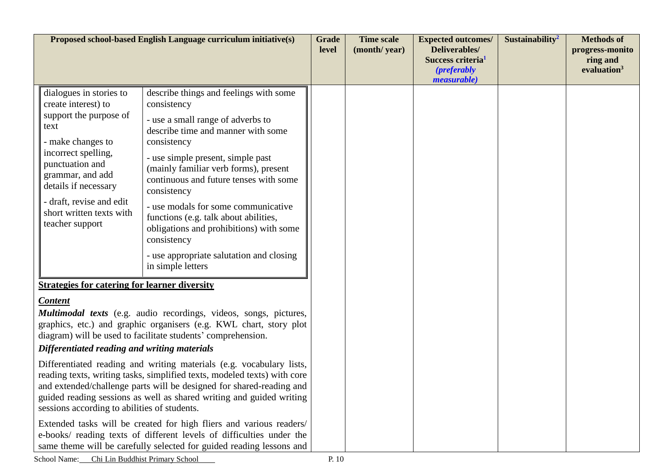| Proposed school-based English Language curriculum initiative(s)                                                                                                                                                                                                                                                                                  |                                                                                                                                                                                                                                                                        |                                                                                                                                                                                                                                                                                                                                                                                                                                                                                                   | <b>Grade</b><br>level | <b>Time scale</b><br>(month/year) | <b>Expected outcomes/</b><br><b>Deliverables/</b><br>Success criteria <sup>1</sup><br><i>(preferably)</i><br><i>measurable</i> ) | Sustainability <sup>2</sup> | <b>Methods of</b><br>progress-monito<br>ring and<br>evaluation <sup>3</sup> |
|--------------------------------------------------------------------------------------------------------------------------------------------------------------------------------------------------------------------------------------------------------------------------------------------------------------------------------------------------|------------------------------------------------------------------------------------------------------------------------------------------------------------------------------------------------------------------------------------------------------------------------|---------------------------------------------------------------------------------------------------------------------------------------------------------------------------------------------------------------------------------------------------------------------------------------------------------------------------------------------------------------------------------------------------------------------------------------------------------------------------------------------------|-----------------------|-----------------------------------|----------------------------------------------------------------------------------------------------------------------------------|-----------------------------|-----------------------------------------------------------------------------|
|                                                                                                                                                                                                                                                                                                                                                  | dialogues in stories to<br>create interest) to<br>support the purpose of<br>text<br>- make changes to<br>incorrect spelling,<br>punctuation and<br>grammar, and add<br>details if necessary<br>- draft, revise and edit<br>short written texts with<br>teacher support | describe things and feelings with some<br>consistency<br>- use a small range of adverbs to<br>describe time and manner with some<br>consistency<br>- use simple present, simple past<br>(mainly familiar verb forms), present<br>continuous and future tenses with some<br>consistency<br>- use modals for some communicative<br>functions (e.g. talk about abilities,<br>obligations and prohibitions) with some<br>consistency<br>- use appropriate salutation and closing<br>in simple letters |                       |                                   |                                                                                                                                  |                             |                                                                             |
| <b>Strategies for catering for learner diversity</b>                                                                                                                                                                                                                                                                                             |                                                                                                                                                                                                                                                                        |                                                                                                                                                                                                                                                                                                                                                                                                                                                                                                   |                       |                                   |                                                                                                                                  |                             |                                                                             |
| <b>Content</b><br><b>Multimodal texts</b> (e.g. audio recordings, videos, songs, pictures,<br>graphics, etc.) and graphic organisers (e.g. KWL chart, story plot<br>diagram) will be used to facilitate students' comprehension.<br>Differentiated reading and writing materials                                                                 |                                                                                                                                                                                                                                                                        |                                                                                                                                                                                                                                                                                                                                                                                                                                                                                                   |                       |                                   |                                                                                                                                  |                             |                                                                             |
| Differentiated reading and writing materials (e.g. vocabulary lists,<br>reading texts, writing tasks, simplified texts, modeled texts) with core<br>and extended/challenge parts will be designed for shared-reading and<br>guided reading sessions as well as shared writing and guided writing<br>sessions according to abilities of students. |                                                                                                                                                                                                                                                                        |                                                                                                                                                                                                                                                                                                                                                                                                                                                                                                   |                       |                                   |                                                                                                                                  |                             |                                                                             |
|                                                                                                                                                                                                                                                                                                                                                  |                                                                                                                                                                                                                                                                        | Extended tasks will be created for high fliers and various readers/<br>e-books/ reading texts of different levels of difficulties under the<br>same theme will be carefully selected for guided reading lessons and                                                                                                                                                                                                                                                                               |                       |                                   |                                                                                                                                  |                             |                                                                             |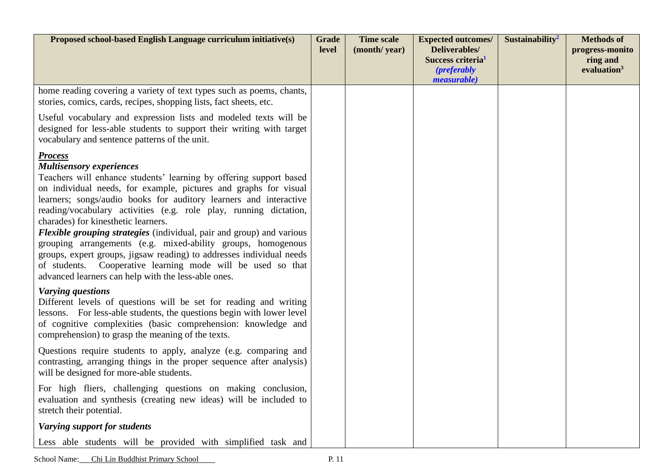| Proposed school-based English Language curriculum initiative(s)                                                                                                                                                                                                                                                                                                                                                                                                                                                                                                                                                                                                                                                            | <b>Grade</b><br>level | <b>Time scale</b><br>(month/year) | <b>Expected outcomes/</b><br>Deliverables/<br>Success criteria <sup>1</sup><br><i>(preferably)</i><br><i>measurable</i> ) | Sustainability <sup>2</sup> | <b>Methods of</b><br>progress-monito<br>ring and<br>evaluation <sup>3</sup> |
|----------------------------------------------------------------------------------------------------------------------------------------------------------------------------------------------------------------------------------------------------------------------------------------------------------------------------------------------------------------------------------------------------------------------------------------------------------------------------------------------------------------------------------------------------------------------------------------------------------------------------------------------------------------------------------------------------------------------------|-----------------------|-----------------------------------|---------------------------------------------------------------------------------------------------------------------------|-----------------------------|-----------------------------------------------------------------------------|
| home reading covering a variety of text types such as poems, chants,<br>stories, comics, cards, recipes, shopping lists, fact sheets, etc.                                                                                                                                                                                                                                                                                                                                                                                                                                                                                                                                                                                 |                       |                                   |                                                                                                                           |                             |                                                                             |
| Useful vocabulary and expression lists and modeled texts will be<br>designed for less-able students to support their writing with target<br>vocabulary and sentence patterns of the unit.                                                                                                                                                                                                                                                                                                                                                                                                                                                                                                                                  |                       |                                   |                                                                                                                           |                             |                                                                             |
| <b>Process</b><br><b>Multisensory experiences</b><br>Teachers will enhance students' learning by offering support based<br>on individual needs, for example, pictures and graphs for visual<br>learners; songs/audio books for auditory learners and interactive<br>reading/vocabulary activities (e.g. role play, running dictation,<br>charades) for kinesthetic learners.<br><b>Flexible grouping strategies</b> (individual, pair and group) and various<br>grouping arrangements (e.g. mixed-ability groups, homogenous<br>groups, expert groups, jigsaw reading) to addresses individual needs<br>of students. Cooperative learning mode will be used so that<br>advanced learners can help with the less-able ones. |                       |                                   |                                                                                                                           |                             |                                                                             |
| <b>Varying questions</b><br>Different levels of questions will be set for reading and writing<br>lessons. For less-able students, the questions begin with lower level<br>of cognitive complexities (basic comprehension: knowledge and<br>comprehension) to grasp the meaning of the texts.                                                                                                                                                                                                                                                                                                                                                                                                                               |                       |                                   |                                                                                                                           |                             |                                                                             |
| Questions require students to apply, analyze (e.g. comparing and<br>contrasting, arranging things in the proper sequence after analysis)<br>will be designed for more-able students.                                                                                                                                                                                                                                                                                                                                                                                                                                                                                                                                       |                       |                                   |                                                                                                                           |                             |                                                                             |
| For high fliers, challenging questions on making conclusion,<br>evaluation and synthesis (creating new ideas) will be included to<br>stretch their potential.                                                                                                                                                                                                                                                                                                                                                                                                                                                                                                                                                              |                       |                                   |                                                                                                                           |                             |                                                                             |
| Varying support for students                                                                                                                                                                                                                                                                                                                                                                                                                                                                                                                                                                                                                                                                                               |                       |                                   |                                                                                                                           |                             |                                                                             |
| Less able students will be provided with simplified task and                                                                                                                                                                                                                                                                                                                                                                                                                                                                                                                                                                                                                                                               |                       |                                   |                                                                                                                           |                             |                                                                             |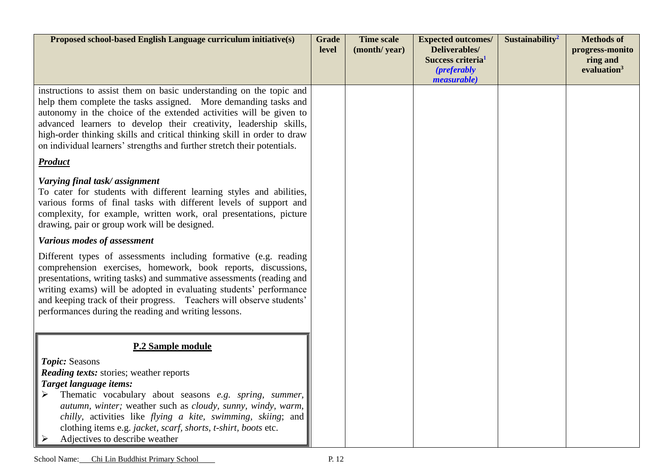| Proposed school-based English Language curriculum initiative(s)                                                                                                                                                                                                                                                                                                                                                                         | <b>Grade</b><br>level | <b>Time scale</b><br>(month/year) | <b>Expected outcomes/</b><br><b>Deliverables/</b><br>Success criteria <sup>1</sup><br><i>(preferably)</i><br><i>measurable</i> ) | Sustainability <sup>2</sup> | <b>Methods of</b><br>progress-monito<br>ring and<br>evaluation <sup>3</sup> |
|-----------------------------------------------------------------------------------------------------------------------------------------------------------------------------------------------------------------------------------------------------------------------------------------------------------------------------------------------------------------------------------------------------------------------------------------|-----------------------|-----------------------------------|----------------------------------------------------------------------------------------------------------------------------------|-----------------------------|-----------------------------------------------------------------------------|
| instructions to assist them on basic understanding on the topic and<br>help them complete the tasks assigned. More demanding tasks and<br>autonomy in the choice of the extended activities will be given to<br>advanced learners to develop their creativity, leadership skills,<br>high-order thinking skills and critical thinking skill in order to draw<br>on individual learners' strengths and further stretch their potentials. |                       |                                   |                                                                                                                                  |                             |                                                                             |
| <b>Product</b>                                                                                                                                                                                                                                                                                                                                                                                                                          |                       |                                   |                                                                                                                                  |                             |                                                                             |
| Varying final task/assignment<br>To cater for students with different learning styles and abilities,<br>various forms of final tasks with different levels of support and<br>complexity, for example, written work, oral presentations, picture<br>drawing, pair or group work will be designed.                                                                                                                                        |                       |                                   |                                                                                                                                  |                             |                                                                             |
| Various modes of assessment                                                                                                                                                                                                                                                                                                                                                                                                             |                       |                                   |                                                                                                                                  |                             |                                                                             |
| Different types of assessments including formative (e.g. reading<br>comprehension exercises, homework, book reports, discussions,<br>presentations, writing tasks) and summative assessments (reading and<br>writing exams) will be adopted in evaluating students' performance<br>and keeping track of their progress. Teachers will observe students'<br>performances during the reading and writing lessons.                         |                       |                                   |                                                                                                                                  |                             |                                                                             |
| P.2 Sample module                                                                                                                                                                                                                                                                                                                                                                                                                       |                       |                                   |                                                                                                                                  |                             |                                                                             |
| Topic: Seasons<br><b>Reading texts:</b> stories; weather reports<br>Target language items:<br>Thematic vocabulary about seasons e.g. spring, summer,<br>➤<br>autumn, winter; weather such as cloudy, sunny, windy, warm,<br><i>chilly</i> , activities like <i>flying a kite</i> , <i>swimming</i> , <i>skiing</i> ; and<br>clothing items e.g. jacket, scarf, shorts, t-shirt, boots etc.<br>Adjectives to describe weather            |                       |                                   |                                                                                                                                  |                             |                                                                             |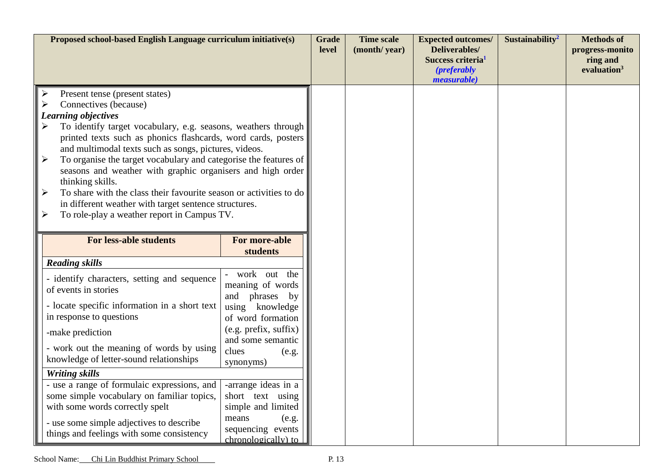| Proposed school-based English Language curriculum initiative(s)                                                                                                                                                                                                                                                                                                                                                                                                                                                                                                                                                                                  |                                                                                                                                                                                                                                                                                                              |  | <b>Time scale</b><br>(month/year) | <b>Expected outcomes/</b><br>Deliverables/<br>Success criteria <sup>1</sup><br><i>(preferably)</i><br><i>measurable</i> ) | Sustainability <sup>2</sup> | <b>Methods of</b><br>progress-monito<br>ring and<br>evaluation <sup>3</sup> |
|--------------------------------------------------------------------------------------------------------------------------------------------------------------------------------------------------------------------------------------------------------------------------------------------------------------------------------------------------------------------------------------------------------------------------------------------------------------------------------------------------------------------------------------------------------------------------------------------------------------------------------------------------|--------------------------------------------------------------------------------------------------------------------------------------------------------------------------------------------------------------------------------------------------------------------------------------------------------------|--|-----------------------------------|---------------------------------------------------------------------------------------------------------------------------|-----------------------------|-----------------------------------------------------------------------------|
| Present tense (present states)<br>Connectives (because)<br>Learning objectives<br>To identify target vocabulary, e.g. seasons, weathers through<br>printed texts such as phonics flashcards, word cards, posters<br>$\ \hspace{1mm}\ $<br>and multimodal texts such as songs, pictures, videos.<br>To organise the target vocabulary and categorise the features of<br>seasons and weather with graphic organisers and high order<br>thinking skills.<br>┃≻<br>To share with the class their favourite season or activities to do<br>in different weather with target sentence structures.<br>To role-play a weather report in Campus TV.<br>∥ ≻ |                                                                                                                                                                                                                                                                                                              |  |                                   |                                                                                                                           |                             |                                                                             |
| <b>For less-able students</b>                                                                                                                                                                                                                                                                                                                                                                                                                                                                                                                                                                                                                    | <b>For more-able</b><br>students                                                                                                                                                                                                                                                                             |  |                                   |                                                                                                                           |                             |                                                                             |
| <b>Reading skills</b><br>- identify characters, setting and sequence<br>of events in stories<br>- locate specific information in a short text<br>in response to questions<br>-make prediction<br>- work out the meaning of words by using<br>knowledge of letter-sound relationships<br><b>Writing skills</b><br>- use a range of formulaic expressions, and<br>some simple vocabulary on familiar topics,<br>with some words correctly spelt<br>- use some simple adjectives to describe<br>things and feelings with some consistency                                                                                                           | work out the<br>meaning of words<br>phrases<br>and<br>by<br>using knowledge<br>of word formation<br>(e.g. prefix, suffix)<br>and some semantic<br>clues<br>(e.g.<br>synonyms)<br>-arrange ideas in a<br>short text using<br>simple and limited<br>means<br>(e.g.<br>sequencing events<br>chronologically) to |  |                                   |                                                                                                                           |                             |                                                                             |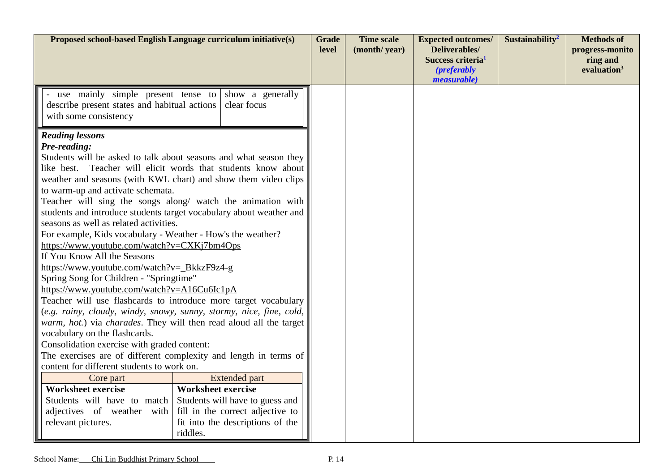| Proposed school-based English Language curriculum initiative(s)                                                                                                                                                                                                                                                                                                                                                                                                                                                                                                                                                                                  |                                                                                                                                                                                                                                                                                                                                                                                                                                                                                                                                                                                                                                                                                                                                                            |  | <b>Time scale</b><br>(month/year) | <b>Expected outcomes/</b><br>Deliverables/<br>Success criteria <sup>1</sup> | Sustainability <sup>2</sup> | <b>Methods</b> of<br>progress-monito<br>ring and |
|--------------------------------------------------------------------------------------------------------------------------------------------------------------------------------------------------------------------------------------------------------------------------------------------------------------------------------------------------------------------------------------------------------------------------------------------------------------------------------------------------------------------------------------------------------------------------------------------------------------------------------------------------|------------------------------------------------------------------------------------------------------------------------------------------------------------------------------------------------------------------------------------------------------------------------------------------------------------------------------------------------------------------------------------------------------------------------------------------------------------------------------------------------------------------------------------------------------------------------------------------------------------------------------------------------------------------------------------------------------------------------------------------------------------|--|-----------------------------------|-----------------------------------------------------------------------------|-----------------------------|--------------------------------------------------|
|                                                                                                                                                                                                                                                                                                                                                                                                                                                                                                                                                                                                                                                  |                                                                                                                                                                                                                                                                                                                                                                                                                                                                                                                                                                                                                                                                                                                                                            |  |                                   | <i>(preferably)</i><br><i>measurable</i> )                                  |                             | evaluation <sup>3</sup>                          |
| use mainly simple present tense to<br>describe present states and habitual actions<br>with some consistency                                                                                                                                                                                                                                                                                                                                                                                                                                                                                                                                      | show a generally<br>clear focus                                                                                                                                                                                                                                                                                                                                                                                                                                                                                                                                                                                                                                                                                                                            |  |                                   |                                                                             |                             |                                                  |
| <b>Reading lessons</b><br>Pre-reading:<br>to warm-up and activate schemata.<br>seasons as well as related activities.<br>For example, Kids vocabulary - Weather - How's the weather?<br>https://www.youtube.com/watch?v=CXKj7bm4Ops<br>If You Know All the Seasons<br>https://www.youtube.com/watch?v=_BkkzF9z4-g<br>Spring Song for Children - "Springtime"<br>https://www.youtube.com/watch?v=A16Cu6Ic1pA<br>vocabulary on the flashcards.<br>Consolidation exercise with graded content:<br>content for different students to work on.<br>Core part<br><b>Worksheet exercise</b><br>Students will have to match<br>adjectives of weather with | Students will be asked to talk about seasons and what season they<br>like best. Teacher will elicit words that students know about<br>weather and seasons (with KWL chart) and show them video clips<br>Teacher will sing the songs along/ watch the animation with<br>students and introduce students target vocabulary about weather and<br>Teacher will use flashcards to introduce more target vocabulary<br>(e.g. rainy, cloudy, windy, snowy, sunny, stormy, nice, fine, cold,<br>warm, hot.) via charades. They will then read aloud all the target<br>The exercises are of different complexity and length in terms of<br><b>Extended part</b><br><b>Worksheet exercise</b><br>Students will have to guess and<br>fill in the correct adjective to |  |                                   |                                                                             |                             |                                                  |
| relevant pictures.                                                                                                                                                                                                                                                                                                                                                                                                                                                                                                                                                                                                                               | fit into the descriptions of the<br>riddles.                                                                                                                                                                                                                                                                                                                                                                                                                                                                                                                                                                                                                                                                                                               |  |                                   |                                                                             |                             |                                                  |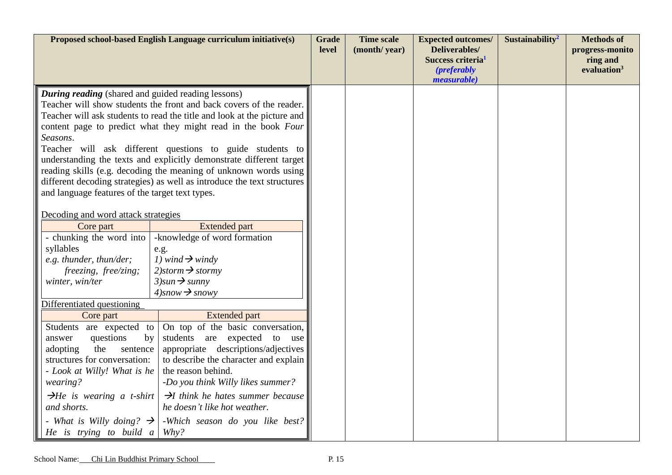|                                                                       | Proposed school-based English Language curriculum initiative(s)                                                                             | <b>Grade</b><br>level | <b>Time scale</b><br>(month/year) | <b>Expected outcomes/</b><br>Deliverables/<br>Success criteria <sup>1</sup><br><i>(preferably)</i><br><i>measurable</i> ) | Sustainability <sup>2</sup> | <b>Methods of</b><br>progress-monito<br>ring and<br>evaluation <sup>3</sup> |
|-----------------------------------------------------------------------|---------------------------------------------------------------------------------------------------------------------------------------------|-----------------------|-----------------------------------|---------------------------------------------------------------------------------------------------------------------------|-----------------------------|-----------------------------------------------------------------------------|
| <b>During reading</b> (shared and guided reading lessons)             | Teacher will show students the front and back covers of the reader.                                                                         |                       |                                   |                                                                                                                           |                             |                                                                             |
|                                                                       | Teacher will ask students to read the title and look at the picture and                                                                     |                       |                                   |                                                                                                                           |                             |                                                                             |
|                                                                       | content page to predict what they might read in the book Four                                                                               |                       |                                   |                                                                                                                           |                             |                                                                             |
| Seasons.                                                              |                                                                                                                                             |                       |                                   |                                                                                                                           |                             |                                                                             |
|                                                                       | Teacher will ask different questions to guide students to                                                                                   |                       |                                   |                                                                                                                           |                             |                                                                             |
|                                                                       | understanding the texts and explicitly demonstrate different target                                                                         |                       |                                   |                                                                                                                           |                             |                                                                             |
|                                                                       | reading skills (e.g. decoding the meaning of unknown words using<br>different decoding strategies) as well as introduce the text structures |                       |                                   |                                                                                                                           |                             |                                                                             |
| and language features of the target text types.                       |                                                                                                                                             |                       |                                   |                                                                                                                           |                             |                                                                             |
|                                                                       |                                                                                                                                             |                       |                                   |                                                                                                                           |                             |                                                                             |
| Decoding and word attack strategies                                   |                                                                                                                                             |                       |                                   |                                                                                                                           |                             |                                                                             |
| Core part                                                             | <b>Extended part</b>                                                                                                                        |                       |                                   |                                                                                                                           |                             |                                                                             |
| - chunking the word into                                              | -knowledge of word formation                                                                                                                |                       |                                   |                                                                                                                           |                             |                                                                             |
| syllables                                                             | e.g.                                                                                                                                        |                       |                                   |                                                                                                                           |                             |                                                                             |
| e.g. thunder, thun/der;                                               | 1) wind $\rightarrow$ windy                                                                                                                 |                       |                                   |                                                                                                                           |                             |                                                                             |
| freezing, free/zing;                                                  | $2)$ storm $\rightarrow$ stormy                                                                                                             |                       |                                   |                                                                                                                           |                             |                                                                             |
| winter, win/ter                                                       | $3)$ sun $\rightarrow$ sunny<br>$4)$ snow $\rightarrow$ snowy                                                                               |                       |                                   |                                                                                                                           |                             |                                                                             |
| Differentiated questioning                                            |                                                                                                                                             |                       |                                   |                                                                                                                           |                             |                                                                             |
| Core part                                                             | <b>Extended part</b>                                                                                                                        |                       |                                   |                                                                                                                           |                             |                                                                             |
| Students are expected to                                              | On top of the basic conversation,                                                                                                           |                       |                                   |                                                                                                                           |                             |                                                                             |
| questions<br>by<br>answer                                             | students are<br>expected<br>to<br>use                                                                                                       |                       |                                   |                                                                                                                           |                             |                                                                             |
| appropriate descriptions/adjectives<br>the<br>adopting<br>sentence    |                                                                                                                                             |                       |                                   |                                                                                                                           |                             |                                                                             |
| structures for conversation:<br>to describe the character and explain |                                                                                                                                             |                       |                                   |                                                                                                                           |                             |                                                                             |
| the reason behind.<br>- Look at Willy! What is he                     |                                                                                                                                             |                       |                                   |                                                                                                                           |                             |                                                                             |
| wearing?                                                              | -Do you think Willy likes summer?                                                                                                           |                       |                                   |                                                                                                                           |                             |                                                                             |
| $\rightarrow$ He is wearing a t-shirt                                 | $\rightarrow$ I think he hates summer because                                                                                               |                       |                                   |                                                                                                                           |                             |                                                                             |
| and shorts.                                                           | he doesn't like hot weather.                                                                                                                |                       |                                   |                                                                                                                           |                             |                                                                             |
| - What is Willy doing? $\rightarrow$                                  | -Which season do you like best?                                                                                                             |                       |                                   |                                                                                                                           |                             |                                                                             |
| He is trying to build a                                               | Why?                                                                                                                                        |                       |                                   |                                                                                                                           |                             |                                                                             |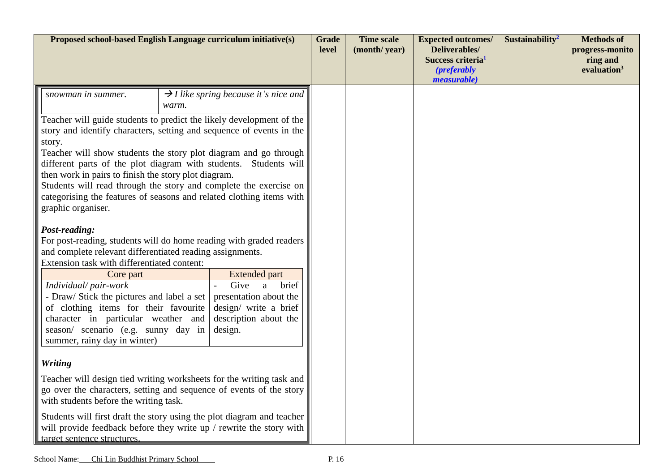| Proposed school-based English Language curriculum initiative(s)                                                                                                                                                                                                                                                                                                                                                                                                                                                                                                                                                   |       |                                                   | <b>Grade</b><br>level | <b>Time scale</b><br>(month/year) | <b>Expected outcomes/</b><br>Deliverables/<br>Success criteria <sup>1</sup><br><i>(preferably)</i><br><i>measurable</i> ) | Sustainability <sup>2</sup> | <b>Methods of</b><br>progress-monito<br>ring and<br>evaluation <sup>3</sup> |
|-------------------------------------------------------------------------------------------------------------------------------------------------------------------------------------------------------------------------------------------------------------------------------------------------------------------------------------------------------------------------------------------------------------------------------------------------------------------------------------------------------------------------------------------------------------------------------------------------------------------|-------|---------------------------------------------------|-----------------------|-----------------------------------|---------------------------------------------------------------------------------------------------------------------------|-----------------------------|-----------------------------------------------------------------------------|
| snowman in summer.                                                                                                                                                                                                                                                                                                                                                                                                                                                                                                                                                                                                | warm. | $\rightarrow$ I like spring because it's nice and |                       |                                   |                                                                                                                           |                             |                                                                             |
| Teacher will guide students to predict the likely development of the<br>story and identify characters, setting and sequence of events in the<br>story.<br>Teacher will show students the story plot diagram and go through<br>different parts of the plot diagram with students. Students will<br>then work in pairs to finish the story plot diagram.<br>Students will read through the story and complete the exercise on<br>categorising the features of seasons and related clothing items with<br>graphic organiser.<br>Post-reading:<br>For post-reading, students will do home reading with graded readers |       |                                                   |                       |                                   |                                                                                                                           |                             |                                                                             |
| and complete relevant differentiated reading assignments.<br>Extension task with differentiated content:                                                                                                                                                                                                                                                                                                                                                                                                                                                                                                          |       |                                                   |                       |                                   |                                                                                                                           |                             |                                                                             |
| Core part                                                                                                                                                                                                                                                                                                                                                                                                                                                                                                                                                                                                         |       | <b>Extended part</b>                              |                       |                                   |                                                                                                                           |                             |                                                                             |
| Give<br>Individual/pair-work<br>brief<br>a<br>- Draw/ Stick the pictures and label a set<br>presentation about the<br>of clothing items for their favourite<br>design/ write a brief<br>character in particular weather and<br>description about the<br>season/ scenario (e.g. sunny day in<br>design.<br>summer, rainy day in winter)                                                                                                                                                                                                                                                                            |       |                                                   |                       |                                   |                                                                                                                           |                             |                                                                             |
| <b>Writing</b>                                                                                                                                                                                                                                                                                                                                                                                                                                                                                                                                                                                                    |       |                                                   |                       |                                   |                                                                                                                           |                             |                                                                             |
| Teacher will design tied writing worksheets for the writing task and<br>go over the characters, setting and sequence of events of the story<br>with students before the writing task.                                                                                                                                                                                                                                                                                                                                                                                                                             |       |                                                   |                       |                                   |                                                                                                                           |                             |                                                                             |
| Students will first draft the story using the plot diagram and teacher<br>will provide feedback before they write up / rewrite the story with<br>target sentence structures.                                                                                                                                                                                                                                                                                                                                                                                                                                      |       |                                                   |                       |                                   |                                                                                                                           |                             |                                                                             |